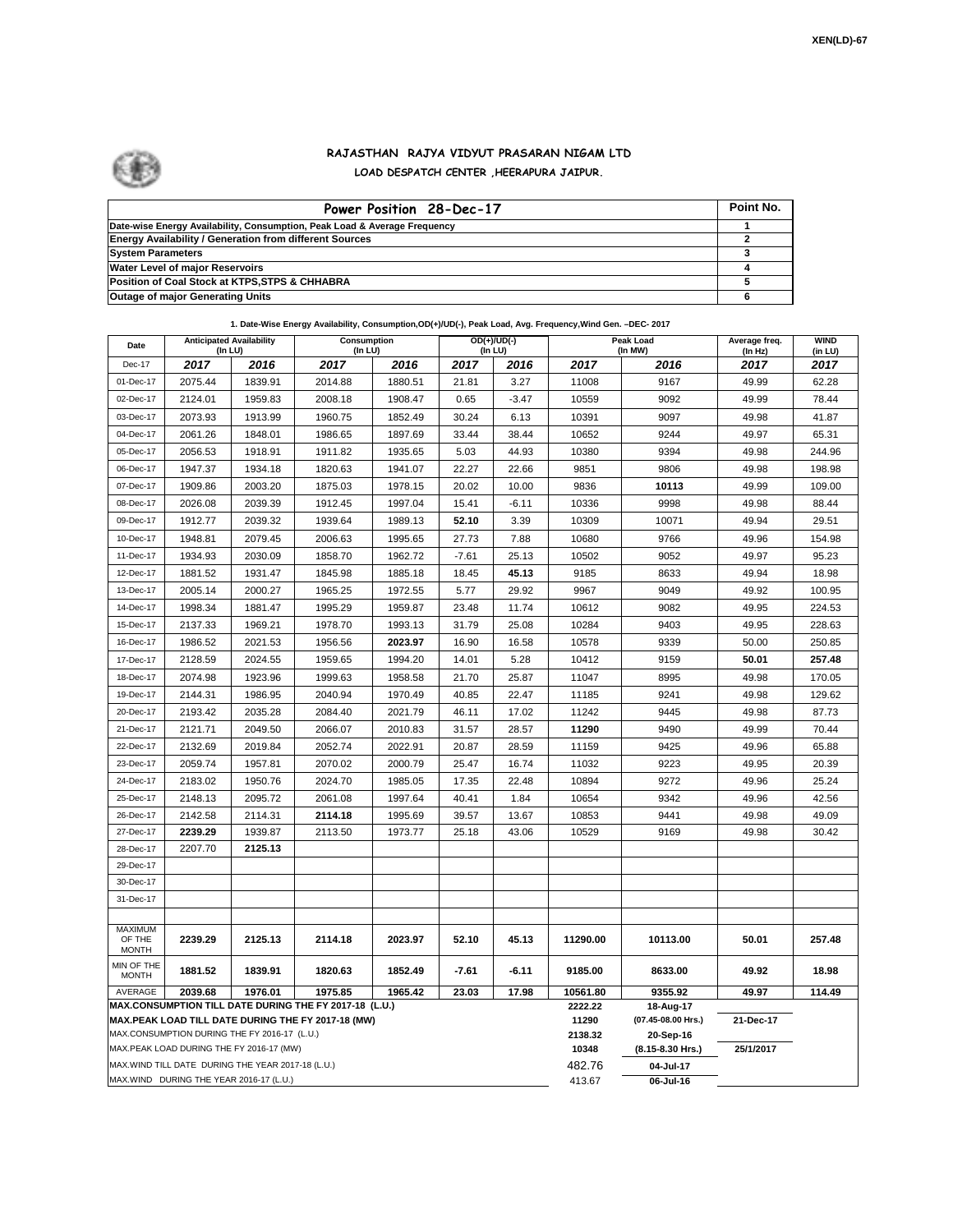

## **RAJASTHAN RAJYA VIDYUT PRASARAN NIGAM LTD LOAD DESPATCH CENTER ,HEERAPURA JAIPUR.**

| Power Position 28-Dec-17                                                  | Point No. |
|---------------------------------------------------------------------------|-----------|
| Date-wise Energy Availability, Consumption, Peak Load & Average Frequency |           |
| <b>Energy Availability / Generation from different Sources</b>            |           |
| <b>System Parameters</b>                                                  |           |
| <b>Water Level of major Reservoirs</b>                                    |           |
| Position of Coal Stock at KTPS, STPS & CHHABRA                            |           |
| <b>Outage of major Generating Units</b>                                   |           |

**1. Date-Wise Energy Availability, Consumption,OD(+)/UD(-), Peak Load, Avg. Frequency,Wind Gen. –DEC- 2017**

| Date                                                                                                         | <b>Anticipated Availability</b><br>(In LU)         |         | Consumption<br>(In LU) |         |         | $OD(+)/UD(-)$<br>(In LU) |                  | Peak Load<br>(In MW)            | Average freq.<br>(In Hz) | <b>WIND</b><br>(in LU) |
|--------------------------------------------------------------------------------------------------------------|----------------------------------------------------|---------|------------------------|---------|---------|--------------------------|------------------|---------------------------------|--------------------------|------------------------|
| Dec-17                                                                                                       | 2017                                               | 2016    | 2017                   | 2016    | 2017    | 2016                     | 2017             | 2016                            | 2017                     | 2017                   |
| 01-Dec-17                                                                                                    | 2075.44                                            | 1839.91 | 2014.88                | 1880.51 | 21.81   | 3.27                     | 11008            | 9167                            | 49.99                    | 62.28                  |
| 02-Dec-17                                                                                                    | 2124.01                                            | 1959.83 | 2008.18                | 1908.47 | 0.65    | $-3.47$                  | 10559            | 9092                            | 49.99                    | 78.44                  |
| 03-Dec-17                                                                                                    | 2073.93                                            | 1913.99 | 1960.75                | 1852.49 | 30.24   | 6.13                     | 10391            | 9097                            | 49.98                    | 41.87                  |
| 04-Dec-17                                                                                                    | 2061.26                                            | 1848.01 | 1986.65                | 1897.69 | 33.44   | 38.44                    | 10652            | 9244                            | 49.97                    | 65.31                  |
| 05-Dec-17                                                                                                    | 2056.53                                            | 1918.91 | 1911.82                | 1935.65 | 5.03    | 44.93                    | 10380            | 9394                            | 49.98                    | 244.96                 |
| 06-Dec-17                                                                                                    | 1947.37                                            | 1934.18 | 1820.63                | 1941.07 | 22.27   | 22.66                    | 9851             | 9806                            | 49.98                    | 198.98                 |
| 07-Dec-17                                                                                                    | 1909.86                                            | 2003.20 | 1875.03                | 1978.15 | 20.02   | 10.00                    | 9836             | 10113                           | 49.99                    | 109.00                 |
| 08-Dec-17                                                                                                    | 2026.08                                            | 2039.39 | 1912.45                | 1997.04 | 15.41   | $-6.11$                  | 10336            | 9998                            | 49.98                    | 88.44                  |
| 09-Dec-17                                                                                                    | 1912.77                                            | 2039.32 | 1939.64                | 1989.13 | 52.10   | 3.39                     | 10309            | 10071                           | 49.94                    | 29.51                  |
| 10-Dec-17                                                                                                    | 1948.81                                            | 2079.45 | 2006.63                | 1995.65 | 27.73   | 7.88                     | 10680            | 9766                            | 49.96                    | 154.98                 |
| 11-Dec-17                                                                                                    | 1934.93                                            | 2030.09 | 1858.70                | 1962.72 | $-7.61$ | 25.13                    | 10502            | 9052                            | 49.97                    | 95.23                  |
| 12-Dec-17                                                                                                    | 1881.52                                            | 1931.47 | 1845.98                | 1885.18 | 18.45   | 45.13                    | 9185             | 8633                            | 49.94                    | 18.98                  |
| 13-Dec-17                                                                                                    | 2005.14                                            | 2000.27 | 1965.25                | 1972.55 | 5.77    | 29.92                    | 9967             | 9049                            | 49.92                    | 100.95                 |
| 14-Dec-17                                                                                                    | 1998.34                                            | 1881.47 | 1995.29                | 1959.87 | 23.48   | 11.74                    | 10612            | 9082                            | 49.95                    | 224.53                 |
| 15-Dec-17                                                                                                    | 2137.33                                            | 1969.21 | 1978.70                | 1993.13 | 31.79   | 25.08                    | 10284            | 9403                            | 49.95                    | 228.63                 |
| 16-Dec-17                                                                                                    | 1986.52                                            | 2021.53 | 1956.56                | 2023.97 | 16.90   | 16.58                    | 10578            | 9339                            | 50.00                    | 250.85                 |
| 17-Dec-17                                                                                                    | 2128.59                                            | 2024.55 | 1959.65                | 1994.20 | 14.01   | 5.28                     | 10412            | 9159                            | 50.01                    | 257.48                 |
| 18-Dec-17                                                                                                    | 2074.98                                            | 1923.96 | 1999.63                | 1958.58 | 21.70   | 25.87                    | 11047            | 8995                            | 49.98                    | 170.05                 |
| 19-Dec-17                                                                                                    | 2144.31                                            | 1986.95 | 2040.94                | 1970.49 | 40.85   | 22.47                    | 11185            | 9241                            | 49.98                    | 129.62                 |
| 20-Dec-17                                                                                                    | 2193.42                                            | 2035.28 | 2084.40                | 2021.79 | 46.11   | 17.02                    | 11242            | 9445                            | 49.98                    | 87.73                  |
| 21-Dec-17                                                                                                    | 2121.71                                            | 2049.50 | 2066.07                | 2010.83 | 31.57   | 28.57                    | 11290            | 9490                            | 49.99                    | 70.44                  |
| 22-Dec-17                                                                                                    | 2132.69                                            | 2019.84 | 2052.74                | 2022.91 | 20.87   | 28.59                    | 11159            | 9425                            | 49.96                    | 65.88                  |
| 23-Dec-17                                                                                                    | 2059.74                                            | 1957.81 | 2070.02                | 2000.79 | 25.47   | 16.74                    | 11032            | 9223                            | 49.95                    | 20.39                  |
| 24-Dec-17                                                                                                    | 2183.02                                            | 1950.76 | 2024.70                | 1985.05 | 17.35   | 22.48                    | 10894            | 9272                            | 49.96                    | 25.24                  |
| 25-Dec-17                                                                                                    | 2148.13                                            | 2095.72 | 2061.08                | 1997.64 | 40.41   | 1.84                     | 10654            | 9342                            | 49.96                    | 42.56                  |
| 26-Dec-17                                                                                                    | 2142.58                                            | 2114.31 | 2114.18                | 1995.69 | 39.57   | 13.67                    | 10853            | 9441                            | 49.98                    | 49.09                  |
| 27-Dec-17                                                                                                    | 2239.29                                            | 1939.87 | 2113.50                | 1973.77 | 25.18   | 43.06                    | 10529            | 9169                            | 49.98                    | 30.42                  |
| 28-Dec-17                                                                                                    | 2207.70                                            | 2125.13 |                        |         |         |                          |                  |                                 |                          |                        |
| 29-Dec-17                                                                                                    |                                                    |         |                        |         |         |                          |                  |                                 |                          |                        |
| 30-Dec-17                                                                                                    |                                                    |         |                        |         |         |                          |                  |                                 |                          |                        |
| 31-Dec-17                                                                                                    |                                                    |         |                        |         |         |                          |                  |                                 |                          |                        |
| <b>MAXIMUM</b>                                                                                               |                                                    |         |                        |         |         |                          |                  |                                 |                          |                        |
| OF THE<br><b>MONTH</b>                                                                                       | 2239.29                                            | 2125.13 | 2114.18                | 2023.97 | 52.10   | 45.13                    | 11290.00         | 10113.00                        | 50.01                    | 257.48                 |
| MIN OF THE<br><b>MONTH</b>                                                                                   | 1881.52                                            | 1839.91 | 1820.63                | 1852.49 | $-7.61$ | $-6.11$                  | 9185.00          | 8633.00                         | 49.92                    | 18.98                  |
| AVERAGE                                                                                                      | 2039.68                                            | 1976.01 | 1975.85                | 1965.42 | 23.03   | 17.98                    | 10561.80         | 9355.92                         | 49.97                    | 114.49                 |
| MAX.CONSUMPTION TILL DATE DURING THE FY 2017-18 (L.U.)<br>MAX.PEAK LOAD TILL DATE DURING THE FY 2017-18 (MW) |                                                    |         |                        |         |         |                          | 2222.22<br>11290 | 18-Aug-17<br>(07.45-08.00 Hrs.) | 21-Dec-17                |                        |
| MAX.CONSUMPTION DURING THE FY 2016-17 (L.U.)                                                                 |                                                    |         |                        |         |         |                          | 2138.32          | 20-Sep-16                       |                          |                        |
| MAX.PEAK LOAD DURING THE FY 2016-17 (MW)                                                                     |                                                    |         |                        |         |         | 10348                    | (8.15-8.30 Hrs.) | 25/1/2017                       |                          |                        |
|                                                                                                              | MAX. WIND TILL DATE DURING THE YEAR 2017-18 (L.U.) |         |                        |         |         |                          | 482.76           | 04-Jul-17                       |                          |                        |
| MAX.WIND DURING THE YEAR 2016-17 (L.U.)                                                                      |                                                    |         |                        |         |         | 413.67                   | 06-Jul-16        |                                 |                          |                        |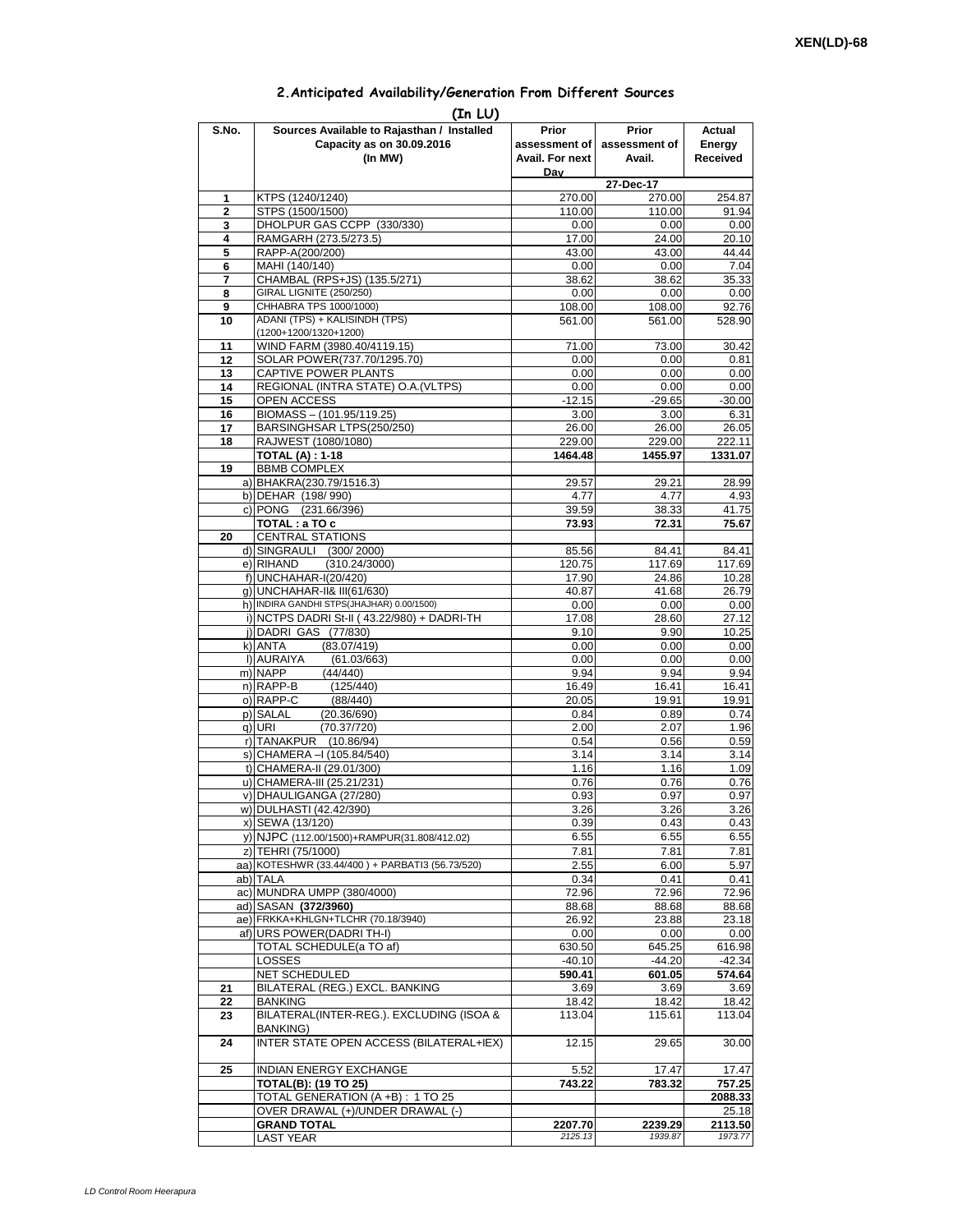| 2. Anticipated Availability/Generation From Different Sources |  |  |  |  |  |
|---------------------------------------------------------------|--|--|--|--|--|
|---------------------------------------------------------------|--|--|--|--|--|

|              | (In LU)                                                                 |                          |                        |                    |
|--------------|-------------------------------------------------------------------------|--------------------------|------------------------|--------------------|
| S.No.        | Sources Available to Rajasthan / Installed<br>Capacity as on 30.09.2016 | Prior<br>assessment of l | Prior<br>assessment of | Actual<br>Energy   |
|              | (In MW)                                                                 | Avail. For next          | Avail.                 | <b>Received</b>    |
|              |                                                                         | Dav                      |                        |                    |
|              |                                                                         |                          | 27-Dec-17              |                    |
| 1            | KTPS (1240/1240)                                                        | 270.00                   | 270.00                 | 254.87             |
| $\mathbf{2}$ | STPS (1500/1500)                                                        | 110.00                   | 110.00                 | 91.94              |
| 3            | DHOLPUR GAS CCPP (330/330)                                              | 0.00                     | 0.00                   | 0.00               |
| 4            | RAMGARH (273.5/273.5)                                                   | 17.00                    | 24.00                  | 20.10              |
| 5<br>6       | RAPP-A(200/200)<br>MAHI (140/140)                                       | 43.00<br>0.00            | 43.00<br>0.00          | 44.44<br>7.04      |
| 7            | CHAMBAL (RPS+JS) (135.5/271)                                            | 38.62                    | 38.62                  | 35.33              |
| 8            | GIRAL LIGNITE (250/250)                                                 | 0.00                     | 0.00                   | 0.00               |
| 9            | CHHABRA TPS 1000/1000)                                                  | 108.00                   | 108.00                 | 92.76              |
| 10           | ADANI (TPS) + KALISINDH (TPS)                                           | 561.00                   | 561.00                 | 528.90             |
|              | (1200+1200/1320+1200)<br>WIND FARM (3980.40/4119.15)                    |                          | 73.00                  |                    |
| 11<br>12     | SOLAR POWER(737.70/1295.70)                                             | 71.00<br>0.00            | 0.00                   | 30.42<br>0.81      |
| 13           | CAPTIVE POWER PLANTS                                                    | 0.00                     | 0.00                   | 0.00               |
| 14           | REGIONAL (INTRA STATE) O.A. (VLTPS)                                     | 0.00                     | 0.00                   | 0.00               |
| 15           | OPEN ACCESS                                                             | $-12.15$                 | $-29.65$               | $-30.00$           |
| 16           | BIOMASS-(101.95/119.25)                                                 | 3.00                     | 3.00                   | 6.31               |
| 17           | BARSINGHSAR LTPS(250/250)                                               | 26.00                    | 26.00                  | 26.05              |
| 18           | RAJWEST (1080/1080)                                                     | 229.00                   | 229.00                 | 222.11             |
| 19           | <b>TOTAL (A): 1-18</b><br><b>BBMB COMPLEX</b>                           | 1464.48                  | 1455.97                | 1331.07            |
|              | a) BHAKRA(230.79/1516.3)                                                | 29.57                    | 29.21                  | 28.99              |
|              | b) DEHAR (198/990)                                                      | 4.77                     | 4.77                   | 4.93               |
|              | c) PONG (231.66/396)                                                    | 39.59                    | 38.33                  | 41.75              |
|              | TOTAL: a TO c                                                           | 73.93                    | 72.31                  | 75.67              |
| 20           | <b>CENTRAL STATIONS</b>                                                 |                          |                        |                    |
|              | d) SINGRAULI (300/2000)                                                 | 85.56                    | 84.41                  | 84.41              |
|              | e) RIHAND<br>(310.24/3000)                                              | 120.75                   | 117.69                 | 117.69             |
|              | f) UNCHAHAR-I(20/420)<br>g) UNCHAHAR-II& III(61/630)                    | 17.90<br>40.87           | 24.86<br>41.68         | 10.28<br>26.79     |
|              | h) INDIRA GANDHI STPS(JHAJHAR) 0.00/1500)                               | 0.00                     | 0.00                   | 0.00               |
|              | i) NCTPS DADRI St-II (43.22/980) + DADRI-TH                             | 17.08                    | 28.60                  | 27.12              |
|              | j) DADRI GAS (77/830)                                                   | 9.10                     | 9.90                   | 10.25              |
|              | k) ANTA<br>(83.07/419)                                                  | 0.00                     | 0.00                   | 0.00               |
|              | I) AURAIYA<br>(61.03/663)                                               | 0.00                     | 0.00                   | 0.00               |
|              | m) NAPP<br>(44/440)                                                     | 9.94                     | 9.94                   | 9.94               |
|              | n) RAPP-B<br>(125/440)                                                  | 16.49                    | 16.41                  | 16.41              |
|              | o) RAPP-C<br>(88/440)<br>p) SALAL<br>(20.36/690)                        | 20.05<br>0.84            | 19.91<br>0.89          | 19.91<br>0.74      |
|              | (70.37/720)<br>q) URI                                                   | 2.00                     | 2.07                   | 1.96               |
|              | r) TANAKPUR (10.86/94)                                                  | 0.54                     | 0.56                   | 0.59               |
|              | s) CHAMERA - (105.84/540)                                               | 3.14                     | 3.14                   | 3.14               |
|              | t) CHAMERA-II (29.01/300)                                               | 1.16                     | 1.16                   | 1.09               |
|              | u) CHAMERA-III (25.21/231)                                              | 0.76                     | 0.76                   | 0.76               |
|              | v) DHAULIGANGA (27/280)                                                 | 0.93                     | 0.97                   | 0.97               |
|              | w) DULHASTI (42.42/390)                                                 | 3.26                     | 3.26                   | 3.26               |
|              | x) SEWA (13/120)<br>y) NJPC (112.00/1500)+RAMPUR(31.808/412.02)         | 0.39<br>6.55             | 0.43<br>6.55           | 0.43<br>6.55       |
|              | z) TEHRI (75/1000)                                                      | 7.81                     | 7.81                   | 7.81               |
|              | aa) KOTESHWR (33.44/400) + PARBATI3 (56.73/520)                         | 2.55                     | 6.00                   | 5.97               |
|              | ab) TALA                                                                | 0.34                     | 0.41                   | 0.41               |
|              | ac) MUNDRA UMPP (380/4000)                                              | 72.96                    | 72.96                  | 72.96              |
|              | ad) SASAN (372/3960)                                                    | 88.68                    | 88.68                  | 88.68              |
|              | ae) FRKKA+KHLGN+TLCHR (70.18/3940)                                      | 26.92                    | 23.88                  | 23.18              |
|              | af) URS POWER(DADRI TH-I)                                               | 0.00                     | 0.00                   | 0.00               |
|              | TOTAL SCHEDULE(a TO af)                                                 | 630.50                   | 645.25<br>$-44.20$     | 616.98             |
|              | LOSSES<br>NET SCHEDULED                                                 | $-40.10$<br>590.41       | 601.05                 | $-42.34$<br>574.64 |
| 21           | BILATERAL (REG.) EXCL. BANKING                                          | 3.69                     | 3.69                   | 3.69               |
| 22           | <b>BANKING</b>                                                          | 18.42                    | 18.42                  | 18.42              |
| 23           | BILATERAL(INTER-REG.). EXCLUDING (ISOA &                                | 113.04                   | 115.61                 | 113.04             |
|              | <b>BANKING)</b>                                                         |                          |                        |                    |
| 24           | INTER STATE OPEN ACCESS (BILATERAL+IEX)                                 | 12.15                    | 29.65                  | 30.00              |
|              |                                                                         |                          |                        |                    |
| 25           | INDIAN ENERGY EXCHANGE                                                  | 5.52                     | 17.47                  | 17.47              |
|              | <b>TOTAL(B): (19 TO 25)</b><br>TOTAL GENERATION (A +B) : 1 TO 25        | 743.22                   | 783.32                 | 757.25<br>2088.33  |
|              | OVER DRAWAL (+)/UNDER DRAWAL (-)                                        |                          |                        | 25.18              |
|              | <b>GRAND TOTAL</b>                                                      | 2207.70                  | 2239.29                | 2113.50            |
|              | LAST YEAR                                                               | 2125.13                  | 1939.87                | 1973.77            |
|              |                                                                         |                          |                        |                    |